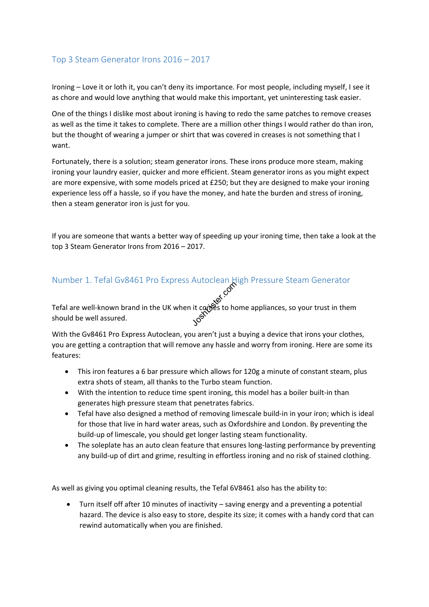## Top 3 Steam Generator Irons 2016 - 2017

Ironing - Love it or loth it, you can't deny its importance. For most people, including myself, I see it as chore and would love anything that would make this important, yet uninteresting task easier.

One of the things I dislike most about ironing is having to redo the same patches to remove creases as well as the time it takes to complete. There are a million other things I would rather do than iron, but the thought of wearing a jumper or shirt that was covered in creases is not something that I want.

Fortunately, there is a solution; steam generator irons. These irons produce more steam, making ironing your laundry easier, quicker and more efficient. Steam generator irons as you might expect are more expensive, with some models priced at £250; but they are designed to make your ironing experience less off a hassle, so if you have the money, and hate the burden and stress of ironing, then a steam generator iron is just for you.

If you are someone that wants a better way of speeding up your ironing time, then take a look at the top 3 Steam Generator Irons from 2016 - 2017.

# Number 1. Tefal Gv8461 Pro Express Autoclean High Pressure Steam Generator

Joshua Companyon Tefal are well-known brand in the UK when it comes to home appliances, so your trust in them should be well assured.

With the Gv8461 Pro Express Autoclean, you aren't just a buying a device that irons your clothes, you are getting a contraption that will remove any hassle and worry from ironing. Here are some its features:

- · This iron features a 6 bar pressure which allows for 120g a minute of constant steam, plus extra shots of steam, all thanks to the Turbo steam function.
- · With the intention to reduce time spent ironing, this model has a boiler built-in than generates high pressure steam that penetrates fabrics.
- · Tefal have also designed a method of removing limescale build-in in your iron; which is ideal for those that live in hard water areas, such as Oxfordshire and London. By preventing the build-up of limescale, you should get longer lasting steam functionality.
- · The soleplate has an auto clean feature that ensures long-lasting performance by preventing any build-up of dirt and grime, resulting in effortless ironing and no risk of stained clothing.

As well as giving you optimal cleaning results, the Tefal 6V8461 also has the ability to:

Turn itself off after 10 minutes of inactivity - saving energy and a preventing a potential hazard. The device is also easy to store, despite its size; it comes with a handy cord that can rewind automatically when you are finished.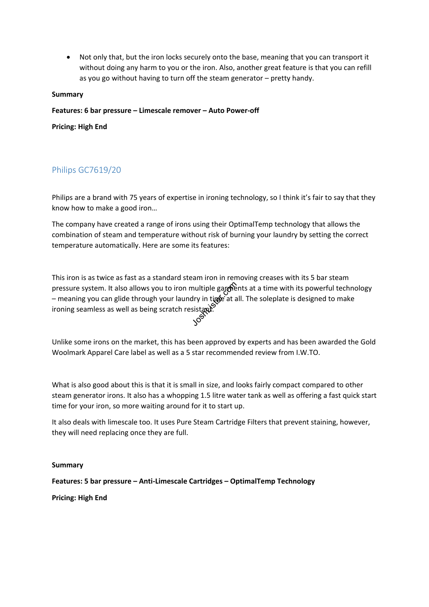Not only that, but the iron locks securely onto the base, meaning that you can transport it without doing any harm to you or the iron. Also, another great feature is that you can refill as you go without having to turn off the steam generator - pretty handy.

### **Summary**

**Features: 6 bar pressure Limescale remover Auto Power-off**

**Pricing: High End**

# Philips GC7619/20

Philips are a brand with 75 years of expertise in ironing technology, so I think it's fair to say that they know how to make a good iron...

The company have created a range of irons using their OptimalTemp technology that allows the combination of steam and temperature without risk of burning your laundry by setting the correct temperature automatically. Here are some its features:

pressure system. It also allows you to iron multiple gare that a time with its powerful technology<br>
– meaning you can glide through your laundry in time at all. The soleplate is designed to make<br>
ironing seamless as well a This iron is as twice as fast as a standard steam iron in removing creases with its 5 bar steam - meaning you can glide through your laundry in time at all. The soleplate is designed to make ironing seamless as well as being scratch resistant.<br>  $\mathcal{S}$ 

Unlike some irons on the market, this has been approved by experts and has been awarded the Gold Woolmark Apparel Care label as well as a 5 star recommended review from I.W.TO.

What is also good about this is that it is small in size, and looks fairly compact compared to other steam generator irons. It also has a whopping 1.5 litre water tank as well as offering a fast quick start time for your iron, so more waiting around for it to start up.

It also deals with limescale too. It uses Pure Steam Cartridge Filters that prevent staining, however, they will need replacing once they are full.

#### **Summary**

**Features: 5 bar pressure Anti-Limescale Cartridges OptimalTemp Technology**

**Pricing: High End**